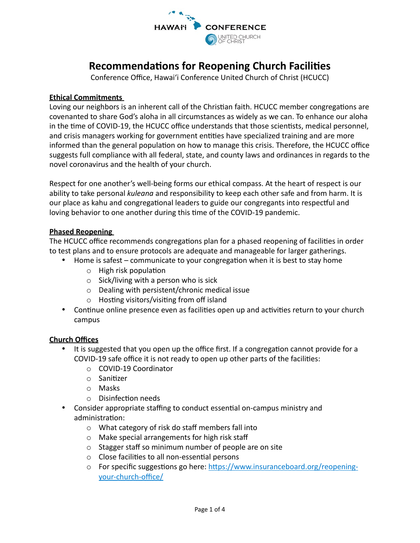

# **Recommendations for Reopening Church Facilities**

Conference Office, Hawai'i Conference United Church of Christ (HCUCC)

#### **Ethical Commitments**

Loving our neighbors is an inherent call of the Christian faith. HCUCC member congregations are covenanted to share God's aloha in all circumstances as widely as we can. To enhance our aloha in the time of COVID-19, the HCUCC office understands that those scientists, medical personnel, and crisis managers working for government entities have specialized training and are more informed than the general population on how to manage this crisis. Therefore, the HCUCC office suggests full compliance with all federal, state, and county laws and ordinances in regards to the novel coronavirus and the health of your church.

Respect for one another's well-being forms our ethical compass. At the heart of respect is our ability to take personal *kuleana* and responsibility to keep each other safe and from harm. It is our place as kahu and congregational leaders to guide our congregants into respectful and loving behavior to one another during this time of the COVID-19 pandemic.

#### **Phased Reopening**

The HCUCC office recommends congregations plan for a phased reopening of facilities in order to test plans and to ensure protocols are adequate and manageable for larger gatherings.

- Home is safest communicate to your congregation when it is best to stay home
	- $\circ$  High risk population
	- $\circ$  Sick/living with a person who is sick
	- $\circ$  Dealing with persistent/chronic medical issue
	- $\circ$  Hosting visitors/visiting from off island
- Continue online presence even as facilities open up and activities return to your church campus

#### **Church Offices**

- It is suggested that you open up the office first. If a congregation cannot provide for a COVID-19 safe office it is not ready to open up other parts of the facilities:
	- o COVID-19 Coordinator
	- $\circ$  Sanitizer
	- o Masks
	- $\circ$  Disinfection needs
- Consider appropriate staffing to conduct essential on-campus ministry and administration:
	- $\circ$  What category of risk do staff members fall into
	- $\circ$  Make special arrangements for high risk staff
	- $\circ$  Stagger staff so minimum number of people are on site
	- $\circ$  Close facilities to all non-essential persons
	- o For specific suggestions go here: https://www.insuranceboard.org/reopeningyour-church-office/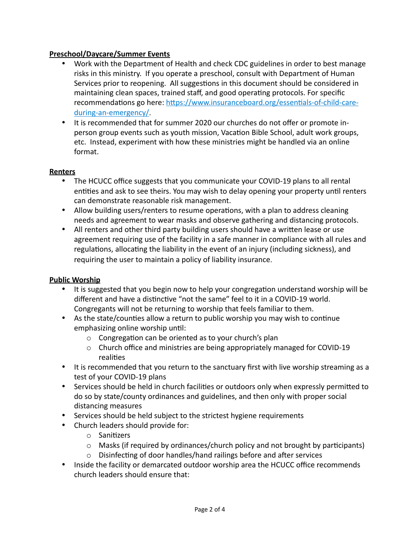## **Preschool/Daycare/Summer Events**

- Work with the Department of Health and check CDC guidelines in order to best manage risks in this ministry. If you operate a preschool, consult with Department of Human Services prior to reopening. All suggestions in this document should be considered in maintaining clean spaces, trained staff, and good operating protocols. For specific recommendations go here: https://www.insuranceboard.org/essentials-of-child-careduring-an-emergency/.
- It is recommended that for summer 2020 our churches do not offer or promote inperson group events such as youth mission, Vacation Bible School, adult work groups, etc. Instead, experiment with how these ministries might be handled via an online format.

#### **Renters**

- The HCUCC office suggests that you communicate your COVID-19 plans to all rental entities and ask to see theirs. You may wish to delay opening your property until renters can demonstrate reasonable risk management.
- Allow building users/renters to resume operations, with a plan to address cleaning needs and agreement to wear masks and observe gathering and distancing protocols.
- All renters and other third party building users should have a written lease or use agreement requiring use of the facility in a safe manner in compliance with all rules and regulations, allocating the liability in the event of an injury (including sickness), and requiring the user to maintain a policy of liability insurance.

#### **Public Worship**

- It is suggested that you begin now to help your congregation understand worship will be different and have a distinctive "not the same" feel to it in a COVID-19 world. Congregants will not be returning to worship that feels familiar to them.
- As the state/counties allow a return to public worship you may wish to continue emphasizing online worship until:
	- $\circ$  Congregation can be oriented as to your church's plan
	- $\circ$  Church office and ministries are being appropriately managed for COVID-19 realities
- It is recommended that you return to the sanctuary first with live worship streaming as a test of your COVID-19 plans
- Services should be held in church facilities or outdoors only when expressly permitted to do so by state/county ordinances and guidelines, and then only with proper social distancing measures
- Services should be held subject to the strictest hygiene requirements
- Church leaders should provide for:
	- $\circ$  Sanitizers
	- $\circ$  Masks (if required by ordinances/church policy and not brought by participants)
	- $\circ$  Disinfecting of door handles/hand railings before and after services
- Inside the facility or demarcated outdoor worship area the HCUCC office recommends church leaders should ensure that: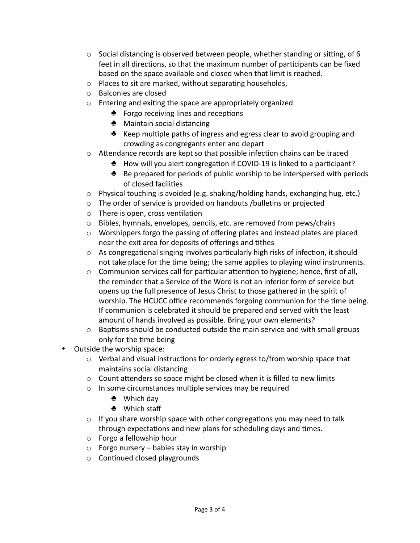- $\circ$  Social distancing is observed between people, whether standing or sitting, of 6 feet in all directions, so that the maximum number of participants can be fixed based on the space available and closed when that limit is reached.
- $\circ$  Places to sit are marked, without separating households,
- o Balconies are closed
- $\circ$  Entering and exiting the space are appropriately organized
	- $\bullet$  Forgo receiving lines and receptions
	- $\triangle$  Maintain social distancing
	- $\triangle$  Keep multiple paths of ingress and egress clear to avoid grouping and crowding as congregants enter and depart
- $\circ$  Attendance records are kept so that possible infection chains can be traced
	- ◆ How will you alert congregation if COVID-19 is linked to a participant?
	- $\triangle$  Be prepared for periods of public worship to be interspersed with periods of closed facilities
- $\circ$  Physical touching is avoided (e.g. shaking/holding hands, exchanging hug, etc.)
- $\circ$  The order of service is provided on handouts /bulletins or projected
- $\circ$  There is open, cross ventilation
- $\circ$  Bibles, hymnals, envelopes, pencils, etc. are removed from pews/chairs
- $\circ$  Worshippers forgo the passing of offering plates and instead plates are placed near the exit area for deposits of offerings and tithes
- $\circ$  As congregational singing involves particularly high risks of infection, it should not take place for the time being; the same applies to playing wind instruments.
- $\circ$  Communion services call for particular attention to hygiene; hence, first of all, the reminder that a Service of the Word is not an inferior form of service but opens up the full presence of Jesus Christ to those gathered in the spirit of worship. The HCUCC office recommends forgoing communion for the time being. If communion is celebrated it should be prepared and served with the least amount of hands involved as possible. Bring your own elements?
- $\circ$  Baptisms should be conducted outside the main service and with small groups only for the time being
- Outside the worship space:
	- $\circ$  Verbal and visual instructions for orderly egress to/from worship space that maintains social distancing
	- $\circ$  Count attenders so space might be closed when it is filled to new limits
	- $\circ$  In some circumstances multiple services may be required
		- $\clubsuit$  Which day
		- ♣ Which staff
	- $\circ$  If you share worship space with other congregations you may need to talk through expectations and new plans for scheduling days and times.
	- $\circ$  Forgo a fellowship hour
	- $\circ$  Forgo nursery babies stay in worship
	- $\circ$  Continued closed playgrounds